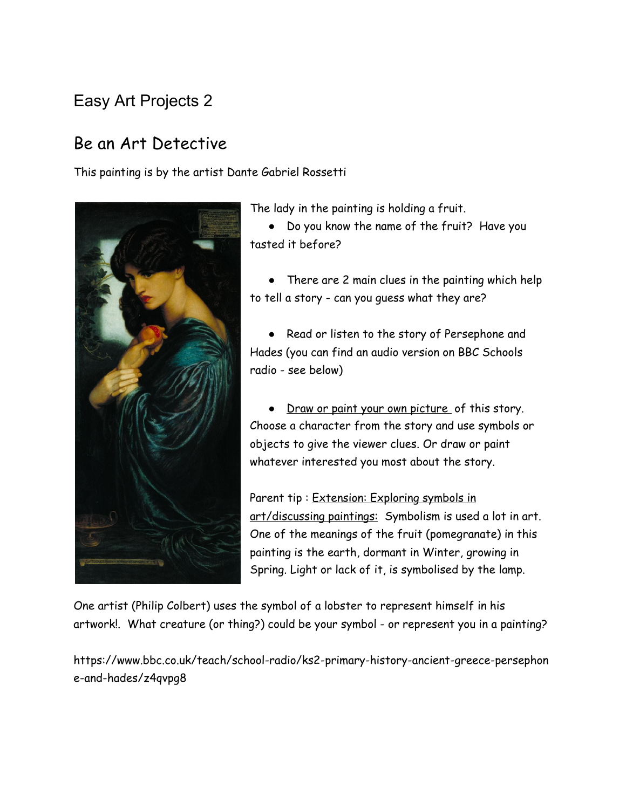## Easy Art Projects 2

## Be an Art Detective

This painting is by the artist Dante Gabriel Rossetti



The lady in the painting is holding a fruit.

● Do you know the name of the fruit? Have you tasted it before?

• There are 2 main clues in the painting which help to tell a story - can you guess what they are?

● Read or listen to the story of Persephone and Hades (you can find an audio version on BBC Schools radio - see below)

• Draw or paint your own picture of this story. Choose a character from the story and use symbols or objects to give the viewer clues. Or draw or paint whatever interested you most about the story.

Parent tip: Extension: Exploring symbols in art/discussing paintings: Symbolism is used a lot in art. One of the meanings of the fruit (pomegranate) in this painting is the earth, dormant in Winter, growing in Spring. Light or lack of it, is symbolised by the lamp.

One artist (Philip Colbert) uses the symbol of a lobster to represent himself in his artwork!. What creature (or thing?) could be your symbol - or represent you in a painting?

https://www.bbc.co.uk/teach/school-radio/ks2-primary-history-ancient-greece-persephon e-and-hades/z4qvpg8